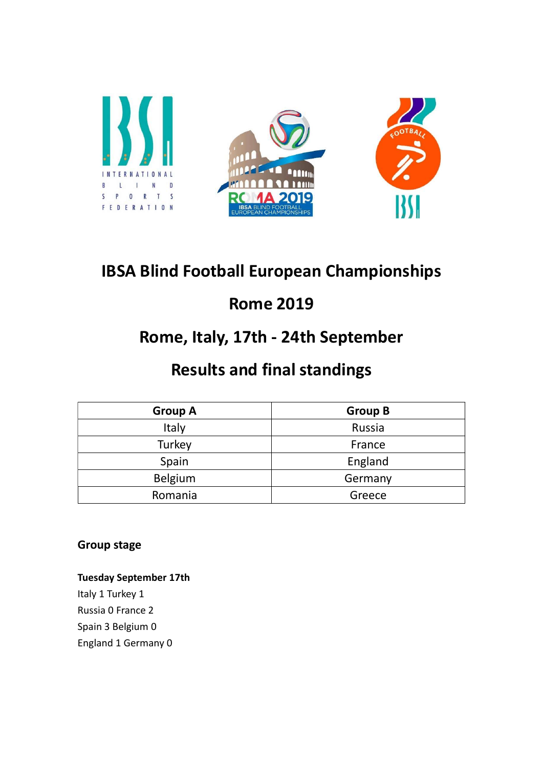

# IBSA Blind Football European Championships

## Rome 2019

## Rome, Italy, 17th - 24th September

## Results and final standings

| <b>Group A</b> | <b>Group B</b> |  |  |
|----------------|----------------|--|--|
| Italy          | Russia         |  |  |
| Turkey         | France         |  |  |
| Spain          | England        |  |  |
| Belgium        | Germany        |  |  |
| Romania        | Greece         |  |  |

Group stage

Tuesday September 17th Italy 1 Turkey 1 Russia 0 France 2 Spain 3 Belgium 0 England 1 Germany 0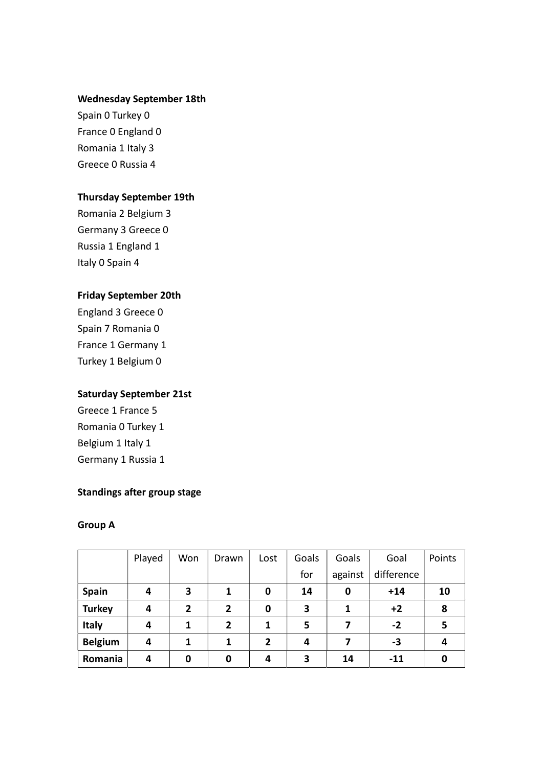#### Wednesday September 18th

Spain 0 Turkey 0 France 0 England 0 Romania 1 Italy 3 Greece 0 Russia 4

#### Thursday September 19th

Romania 2 Belgium 3 Germany 3 Greece 0 Russia 1 England 1 Italy 0 Spain 4

#### Friday September 20th

England 3 Greece 0 Spain 7 Romania 0 France 1 Germany 1 Turkey 1 Belgium 0

#### Saturday September 21st

Greece 1 France 5 Romania 0 Turkey 1 Belgium 1 Italy 1 Germany 1 Russia 1

#### Standings after group stage

#### Group A

|                | Played | Won          | Drawn          | Lost           | Goals | Goals   | Goal       | Points |
|----------------|--------|--------------|----------------|----------------|-------|---------|------------|--------|
|                |        |              |                |                | for   | against | difference |        |
| <b>Spain</b>   | 4      | 3            | 1              | 0              | 14    | 0       | $+14$      | 10     |
| <b>Turkey</b>  | 4      | $\mathbf{2}$ | $\overline{2}$ | 0              | 3     | 1       | $+2$       | 8      |
| Italy          | 4      |              | $\overline{2}$ | 1              | 5     |         | $-2$       | 5      |
| <b>Belgium</b> | 4      |              | 1              | $\overline{2}$ | 4     | 7       | -3         | 4      |
| Romania        | 4      | 0            | 0              | 4              | 3     | 14      | $-11$      | 0      |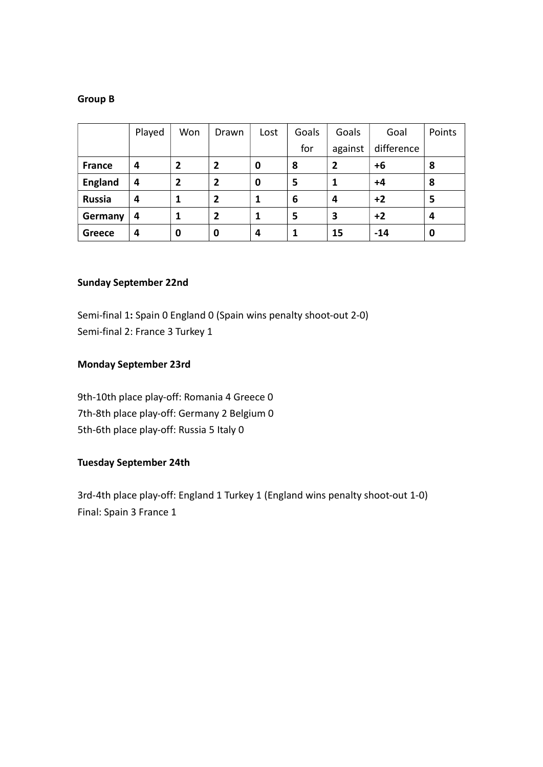#### Group B

|                | Played | Won | Drawn          | Lost | Goals | Goals   | Goal       | Points |
|----------------|--------|-----|----------------|------|-------|---------|------------|--------|
|                |        |     |                |      | for   | against | difference |        |
| <b>France</b>  | 4      | 2   | $\mathbf{2}$   | 0    | 8     | 2       | +6         | 8      |
| <b>England</b> | 4      | 2   | 2              | 0    | 5     |         | $+4$       | 8      |
| <b>Russia</b>  | 4      |     | $\overline{2}$ |      | 6     | 4       | $+2$       | 5      |
| Germany        | 4      |     | $\overline{2}$ |      | 5     | З       | $+2$       | 4      |
| <b>Greece</b>  | 4      | 0   | 0              | 4    |       | 15      | $-14$      | 0      |

#### Sunday September 22nd

Semi-final 1: Spain 0 England 0 (Spain wins penalty shoot-out 2-0) Semi-final 2: France 3 Turkey 1

#### Monday September 23rd

9th-10th place play-off: Romania 4 Greece 0 7th-8th place play-off: Germany 2 Belgium 0 5th-6th place play-off: Russia 5 Italy 0

#### Tuesday September 24th

3rd-4th place play-off: England 1 Turkey 1 (England wins penalty shoot-out 1-0) Final: Spain 3 France 1